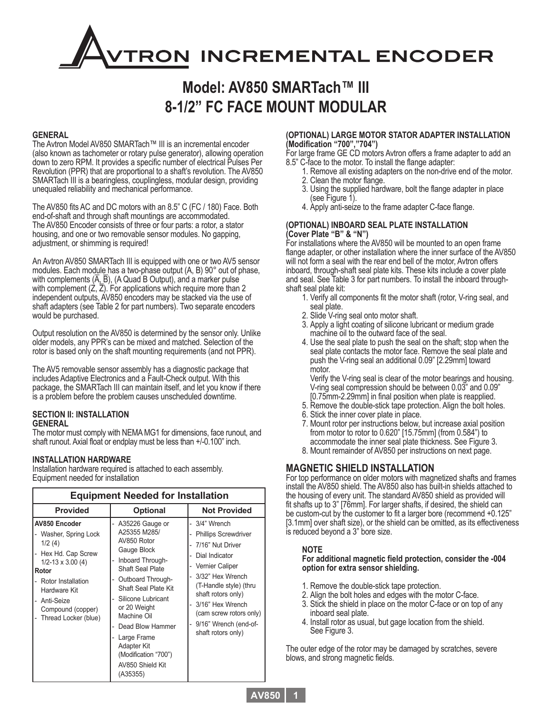# **TRON INCREMENTAL ENCODER**

### **Model: AV850 SMARTach™ III 8-1/2" FC FACE MOUNT MODULAR**

#### **GENERAL**

The Avtron Model AV850 SMARTach™ III is an incremental encoder (also known as tachometer or rotary pulse generator), allowing operation down to zero RPM. It provides a specific number of electrical Pulses Per Revolution (PPR) that are proportional to a shaft's revolution. The AV850 SMARTach III is a bearingless, couplingless, modular design, providing unequaled reliability and mechanical performance.

The AV850 fits AC and DC motors with an 8.5" C (FC / 180) Face. Both end-of-shaft and through shaft mountings are accommodated. The AV850 Encoder consists of three or four parts: a rotor, a stator housing, and one or two removable sensor modules. No gapping, adjustment, or shimming is required!

An Avtron AV850 SMARTach III is equipped with one or two AV5 sensor modules. Each module has a two-phase output (A, B) 90° out of phase, with complements (A, B), (A Quad B Output), and a marker pulse with complement (Z, Z). For applications which require more than 2 independent outputs, AV850 encoders may be stacked via the use of shaft adapters (see Table 2 for part numbers). Two separate encoders would be purchased.

Output resolution on the AV850 is determined by the sensor only. Unlike older models, any PPR's can be mixed and matched. Selection of the rotor is based only on the shaft mounting requirements (and not PPR).

The AV5 removable sensor assembly has a diagnostic package that includes Adaptive Electronics and a Fault-Check output. With this package, the SMARTach III can maintain itself, and let you know if there is a problem before the problem causes unscheduled downtime.

#### **SECTION II: INSTALLATION GENERAL**

The motor must comply with NEMA MG1 for dimensions, face runout, and shaft runout. Axial float or endplay must be less than +/-0.100" inch.

#### **INSTALLATION HARDWARE**

Installation hardware required is attached to each assembly. Equipment needed for installation

| <b>Equipment Needed for Installation</b>                                                                                                                                                                    |                                                                                                                                                                                                                                                                                                                   |                                                                                                                                                                                                                                                                         |  |  |  |  |  |  |  |  |
|-------------------------------------------------------------------------------------------------------------------------------------------------------------------------------------------------------------|-------------------------------------------------------------------------------------------------------------------------------------------------------------------------------------------------------------------------------------------------------------------------------------------------------------------|-------------------------------------------------------------------------------------------------------------------------------------------------------------------------------------------------------------------------------------------------------------------------|--|--|--|--|--|--|--|--|
| <b>Provided</b>                                                                                                                                                                                             | <b>Optional</b>                                                                                                                                                                                                                                                                                                   | <b>Not Provided</b>                                                                                                                                                                                                                                                     |  |  |  |  |  |  |  |  |
| AV850 Encoder<br>Washer, Spring Lock<br>1/2(4)<br>Hex Hd. Cap Screw<br>$1/2 - 13 \times 3.00$ (4)<br>Rotor<br>Rotor Installation<br>Hardware Kit<br>Anti-Seize<br>Compound (copper)<br>Thread Locker (blue) | A35226 Gauge or<br>A25355 M285/<br>AV850 Rotor<br>Gauge Block<br>Inboard Through-<br>Shaft Seal Plate<br>Outboard Through-<br>Shaft Seal Plate Kit<br>Silicone Lubricant<br>or 20 Weight<br>Machine Oil<br>Dead Blow Hammer<br>Large Frame<br>Adapter Kit<br>(Modification "700")<br>AV850 Shield Kit<br>(A35355) | - 3/4" Wrench<br><b>Phillips Screwdriver</b><br>7/16" Nut Driver<br>Dial Indicator<br>Vernier Caliper<br>3/32" Hex Wrench<br>(T-Handle style) (thru<br>shaft rotors only)<br>3/16" Hex Wrench<br>(cam screw rotors only)<br>9/16" Wrench (end-of-<br>shaft rotors only) |  |  |  |  |  |  |  |  |

#### **(OPTIONAL) LARGE MOTOR STATOR ADAPTER INSTALLATION (Modification "700","704")**

For large frame GE CD motors Avtron offers a frame adapter to add an 8.5" C-face to the motor. To install the flange adapter:

- 1. Remove all existing adapters on the non-drive end of the motor. 2. Clean the motor flange.
- 3. Using the supplied hardware, bolt the flange adapter in place (see Figure 1).
- 4. Apply anti-seize to the frame adapter C-face flange.

#### **(OPTIONAL) INBOARD SEAL PLATE INSTALLATION (Cover Plate "B" & "N")**

For installations where the AV850 will be mounted to an open frame flange adapter, or other installation where the inner surface of the AV850 will not form a seal with the rear end bell of the motor, Avtron offers inboard, through-shaft seal plate kits. These kits include a cover plate and seal. See Table 3 for part numbers. To install the inboard throughshaft seal plate kit:

- 1. Verify all components fit the motor shaft (rotor, V-ring seal, and seal plate.
- 2. Slide V-ring seal onto motor shaft.
- 3. Apply a light coating of silicone lubricant or medium grade machine oil to the outward face of the seal.
- 4. Use the seal plate to push the seal on the shaft; stop when the seal plate contacts the motor face. Remove the seal plate and push the V-ring seal an additional 0.09" [2.29mm] toward motor.

 Verify the V-ring seal is clear of the motor bearings and housing. V-ring seal compression should be between 0.03" and 0.09" [0.75mm-2.29mm] in final position when plate is reapplied.

- 5. Remove the double-stick tape protection. Align the bolt holes.
- 6. Stick the inner cover plate in place.
- 7. Mount rotor per instructions below, but increase axial position from motor to rotor to 0.620" [15.75mm] (from 0.584") to accommodate the inner seal plate thickness. See Figure 3.
	- 8. Mount remainder of AV850 per instructions on next page.

#### **MAGNETIC SHIELD INSTALLATION**

For top performance on older motors with magnetized shafts and frames install the AV850 shield. The AV850 also has built-in shields attached to the housing of every unit. The standard AV850 shield as provided will fit shafts up to 3" [76mm]. For larger shafts, if desired, the shield can be custom-cut by the customer to fit a larger bore (recommend +0.125" [3.1mm] over shaft size), or the shield can be omitted, as its effectiveness is reduced beyond a 3" bore size.

#### **NOTE**

#### **For additional magnetic field protection, consider the -004 option for extra sensor shielding.**

- 1. Remove the double-stick tape protection.
- 2. Align the bolt holes and edges with the motor C-face.
- 3. Stick the shield in place on the motor C-face or on top of any inboard seal plate.
- 4. Install rotor as usual, but gage location from the shield. See Figure 3.

The outer edge of the rotor may be damaged by scratches, severe blows, and strong magnetic fields.

**AV850 1**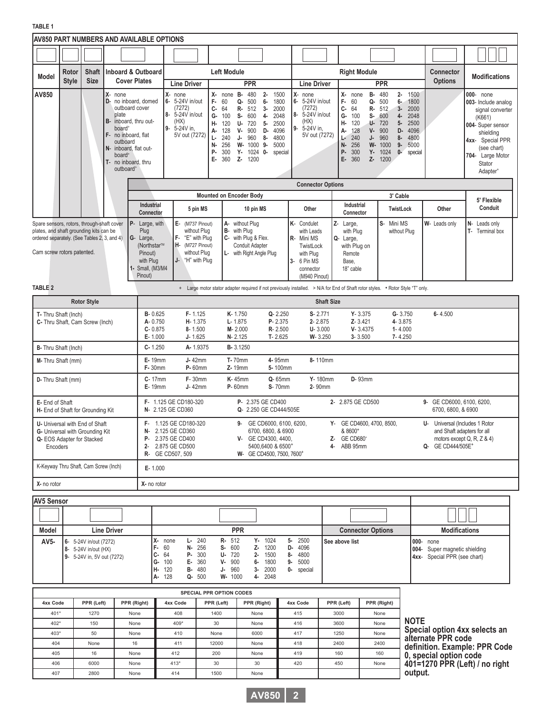|                                                                                                                                                                                                                                                                                     |              |                                                                                                 |                                                                                                                             | <b>AV850 PART NUMBERS AND AVAILABLE OPTIONS</b>                                                                                                                                                                                                                                                                                                                                         |                                                                                                                |                                                                                                                                 |                                                                                                                                                                                                                                                                   |                                                                                     |                                                                                                                                                                                           |                                                                            |                                  |
|-------------------------------------------------------------------------------------------------------------------------------------------------------------------------------------------------------------------------------------------------------------------------------------|--------------|-------------------------------------------------------------------------------------------------|-----------------------------------------------------------------------------------------------------------------------------|-----------------------------------------------------------------------------------------------------------------------------------------------------------------------------------------------------------------------------------------------------------------------------------------------------------------------------------------------------------------------------------------|----------------------------------------------------------------------------------------------------------------|---------------------------------------------------------------------------------------------------------------------------------|-------------------------------------------------------------------------------------------------------------------------------------------------------------------------------------------------------------------------------------------------------------------|-------------------------------------------------------------------------------------|-------------------------------------------------------------------------------------------------------------------------------------------------------------------------------------------|----------------------------------------------------------------------------|----------------------------------|
|                                                                                                                                                                                                                                                                                     |              |                                                                                                 |                                                                                                                             |                                                                                                                                                                                                                                                                                                                                                                                         |                                                                                                                |                                                                                                                                 |                                                                                                                                                                                                                                                                   |                                                                                     |                                                                                                                                                                                           |                                                                            |                                  |
| Model                                                                                                                                                                                                                                                                               | Rotor        | <b>Shaft</b>                                                                                    |                                                                                                                             | <b>Inboard &amp; Outboard</b>                                                                                                                                                                                                                                                                                                                                                           |                                                                                                                | <b>Left Module</b>                                                                                                              |                                                                                                                                                                                                                                                                   | <b>Right Module</b>                                                                 | <b>Connector</b>                                                                                                                                                                          | <b>Modifications</b>                                                       |                                  |
|                                                                                                                                                                                                                                                                                     | <b>Style</b> | <b>Size</b>                                                                                     |                                                                                                                             | <b>Cover Plates</b>                                                                                                                                                                                                                                                                                                                                                                     | <b>Line Driver</b>                                                                                             | <b>PPR</b>                                                                                                                      | <b>Line Driver</b>                                                                                                                                                                                                                                                |                                                                                     | <b>PPR</b>                                                                                                                                                                                | <b>Options</b>                                                             |                                  |
| $X-$ none<br>AV850<br>D- no inboard, domed<br>outboard cover<br>plate<br>inboard, thru out-<br><b>B-</b><br>board <sup>&gt;</sup><br>no inboard, flat<br>F-<br>outboard<br>inboard. flat out-<br>IN-<br>board <sup>&gt;</sup><br>no inboard, thru<br>T-<br>outboard <sup>&gt;</sup> |              |                                                                                                 | X- none<br>6- 5-24V in/out<br>(7272)<br>8- 5-24V in/out<br>(HX)<br>5-24V in.<br>9-<br>5V out (7272)                         | X- none B-<br>480<br>$2-$<br>1500<br>F-<br>60<br>500<br>6-<br>1800<br>Q-<br>c-<br><b>R-</b> 512<br>3-<br>2000<br>64<br>G-<br>100<br><b>S-</b><br>600<br>4-<br>2048<br>н-<br>U-<br>720<br>$5-$<br>2500<br>120<br>900<br>A- 128<br>v-<br>D-<br>4096<br>$L - 240$<br>J-<br>960<br>8-<br>4800<br>N-<br>256<br>W- 1000 9-<br>5000<br>P-<br>300<br>Y- 1024 0-<br>special<br>E- 360<br>Z- 1200 | X- none<br>6- 5-24V in/out<br>(7272)<br>8- 5-24V in/out<br>(HX)<br>5-24V in,<br>9-<br>5V out (7272)            | X- none<br>F-<br>60<br>c-<br>64<br>G-<br>100<br>н.<br>120<br>128<br>А-<br>240<br>J-<br>Ŀ<br>N-<br>256<br>P-<br>300<br>E-<br>360 | <b>B-</b> 480<br>$2 -$<br>1500<br>1800<br>Q- 500<br>$6-$<br>2000<br>R- 512<br>$3-$<br>2048<br>$S - 600$<br>4-<br>$U - 720$<br>$5-$<br>2500<br>$V - 900$<br>D-<br>4096<br>960<br>4800<br>8-<br>W- 1000<br>$9-$<br>5000<br>$Y - 1024$<br>$0-$<br>special<br>Z- 1200 |                                                                                     | 000- none<br>003- Include analog<br>signal converter<br>(K661)<br>004- Super sensor<br>shielding<br>4xx- Special PPR<br>(see chart)<br>704- Large Motor<br>Stator<br>Adapter <sup>+</sup> |                                                                            |                                  |
|                                                                                                                                                                                                                                                                                     |              |                                                                                                 |                                                                                                                             |                                                                                                                                                                                                                                                                                                                                                                                         |                                                                                                                |                                                                                                                                 | <b>Connector Options</b>                                                                                                                                                                                                                                          |                                                                                     |                                                                                                                                                                                           |                                                                            |                                  |
|                                                                                                                                                                                                                                                                                     |              |                                                                                                 |                                                                                                                             |                                                                                                                                                                                                                                                                                                                                                                                         |                                                                                                                | Mounted on Encoder Body                                                                                                         |                                                                                                                                                                                                                                                                   |                                                                                     | 3' Cable                                                                                                                                                                                  |                                                                            | 5' Flexible                      |
|                                                                                                                                                                                                                                                                                     |              |                                                                                                 |                                                                                                                             | <b>Industrial</b><br>Connector                                                                                                                                                                                                                                                                                                                                                          | 5 pin MS                                                                                                       | 10 pin MS                                                                                                                       | Other                                                                                                                                                                                                                                                             | Industrial<br>Connector                                                             | TwistLock                                                                                                                                                                                 | Other                                                                      | Conduit                          |
| P-<br>Spare sensors, rotors, through-shaft cover<br>Plug<br>plates, and shaft grounding kits can be<br>ordered separately. (See Tables 2, 3, and 4)<br>G- Large,<br>Cam screw rotors patented.<br>Pinout)<br>with Plug<br>Pinout)                                                   |              |                                                                                                 |                                                                                                                             | Large, with<br>(Northstar™<br>1- Small, (M3/M4                                                                                                                                                                                                                                                                                                                                          | $E-$ (M737 Pinout)<br>without Plug<br>F- "E" with Plug<br>H- (M727 Pinout)<br>without Plug<br>J- "H" with Plug | A- without Plug<br>B- with Plug<br>C- with Plug & Flex.<br>Conduit Adapter<br>L- with Right Angle Plug                          | K- Condulet<br>with Leads<br>R- Mini MS<br>TwistLock<br>with Plug<br>3- 6 Pin MS<br>connector<br>(M940 Pinout)                                                                                                                                                    | Z- Large,<br>with Plug<br>Q- Large,<br>with Plug on<br>Remote<br>Base,<br>18" cable | S-<br>Mini MS<br>without Plug                                                                                                                                                             | W- Leads only                                                              | N- Leads only<br>T- Terminal box |
| <b>TABLE 2</b>                                                                                                                                                                                                                                                                      |              |                                                                                                 |                                                                                                                             |                                                                                                                                                                                                                                                                                                                                                                                         |                                                                                                                | + Large motor stator adapter required if not previously installed. > N/A for End of Shaft rotor styles. • Rotor Style "T" only. |                                                                                                                                                                                                                                                                   |                                                                                     |                                                                                                                                                                                           |                                                                            |                                  |
|                                                                                                                                                                                                                                                                                     |              | <b>Rotor Style</b>                                                                              |                                                                                                                             |                                                                                                                                                                                                                                                                                                                                                                                         |                                                                                                                |                                                                                                                                 |                                                                                                                                                                                                                                                                   | <b>Shaft Size</b>                                                                   |                                                                                                                                                                                           |                                                                            |                                  |
| T- Thru Shaft (Inch)<br>C- Thru Shaft, Cam Screw (Inch)                                                                                                                                                                                                                             |              |                                                                                                 |                                                                                                                             | <b>B-0.625</b><br>A-0.750<br>$C - 0.875$<br>E-1.000                                                                                                                                                                                                                                                                                                                                     | F-1.125<br>H-1.375<br>$8 - 1.500$<br>$J - 1.625$                                                               | K-1.750<br>Q-2.250<br>P-2.375<br>$L - 1.875$<br>M-2.000<br>R-2.500<br>N-2.125<br>$T - 2.625$                                    | $S - 2.771$<br>2-2.875<br>$U - 3.000$<br>W-3.250                                                                                                                                                                                                                  | $Y - 3.375$<br>Z-3.421<br>$V - 3.4375$<br>$3 - 3.500$                               | $G - 3.750$<br>4-3.875<br>$1 - 4.000$<br>7-4.250                                                                                                                                          | $6 - 4.500$                                                                |                                  |
| B- Thru Shaft (Inch)                                                                                                                                                                                                                                                                |              |                                                                                                 |                                                                                                                             | $C - 1.250$                                                                                                                                                                                                                                                                                                                                                                             | A-1.9375                                                                                                       | <b>B-3.1250</b>                                                                                                                 |                                                                                                                                                                                                                                                                   |                                                                                     |                                                                                                                                                                                           |                                                                            |                                  |
| M- Thru Shaft (mm)                                                                                                                                                                                                                                                                  |              |                                                                                                 |                                                                                                                             | <b>E-19mm</b><br><b>F-30mm</b>                                                                                                                                                                                                                                                                                                                                                          | $J-42mm$<br>P-60mm                                                                                             | <b>T-70mm</b><br>4-95mm<br>Z-19mm<br>5-100mm                                                                                    | 8-110mm                                                                                                                                                                                                                                                           |                                                                                     |                                                                                                                                                                                           |                                                                            |                                  |
| D- Thru Shaft (mm)                                                                                                                                                                                                                                                                  |              |                                                                                                 |                                                                                                                             | $C-17mm$<br><b>E-19mm</b>                                                                                                                                                                                                                                                                                                                                                               | <b>F-30mm</b><br>J-42mm                                                                                        | <b>K-45mm</b><br>Q-65mm<br><b>S</b> -70mm<br><b>P</b> -60mm                                                                     | Y-180mm<br>2-90mm                                                                                                                                                                                                                                                 | <b>D</b> -93mm                                                                      |                                                                                                                                                                                           |                                                                            |                                  |
| E- End of Shaft<br>H- End of Shaft for Grounding Kit                                                                                                                                                                                                                                |              |                                                                                                 |                                                                                                                             |                                                                                                                                                                                                                                                                                                                                                                                         | F- 1.125 GE CD180-320<br>N- 2.125 GE CD360                                                                     | P- 2.375 GE CD400<br>Q- 2.250 GE CD444/505E                                                                                     |                                                                                                                                                                                                                                                                   | 2- 2.875 GE CD500                                                                   |                                                                                                                                                                                           | 9- GE CD6000, 6100, 6200,<br>6700, 6800, & 6900                            |                                  |
| F-<br>U- Universal with End of Shaft<br>N-<br>G- Universal with Grounding Kit<br>Q- EOS Adapter for Stacked<br>2-<br>Encoders                                                                                                                                                       |              | 1.125 GE CD180-320<br>2.125 GE CD360<br>P- 2.375 GE CD400<br>2.875 GE CD500<br>R- GE CD507, 509 | GE CD6000, 6100, 6200,<br>9-<br>6700, 6800, & 6900<br>V- GE CD4300, 4400,<br>5400,6400 & 6500+<br>W- GE CD4500, 7500, 7600+ |                                                                                                                                                                                                                                                                                                                                                                                         | Y- GE CD4600, 4700, 8500,<br>& 8600+<br>Z- GE CD680+<br>4- ABB 95mm                                            |                                                                                                                                 | U- Universal (Includes 1 Rotor<br>and Shaft adapters for all<br>motors except Q, R, Z & 4)<br>Q- GE CD444/505E+                                                                                                                                                   |                                                                                     |                                                                                                                                                                                           |                                                                            |                                  |
| K-Keyway Thru Shaft, Cam Screw (Inch)<br>E-1.000                                                                                                                                                                                                                                    |              |                                                                                                 |                                                                                                                             |                                                                                                                                                                                                                                                                                                                                                                                         |                                                                                                                |                                                                                                                                 |                                                                                                                                                                                                                                                                   |                                                                                     |                                                                                                                                                                                           |                                                                            |                                  |
| X- no rotor                                                                                                                                                                                                                                                                         |              |                                                                                                 |                                                                                                                             | X- no rotor                                                                                                                                                                                                                                                                                                                                                                             |                                                                                                                |                                                                                                                                 |                                                                                                                                                                                                                                                                   |                                                                                     |                                                                                                                                                                                           |                                                                            |                                  |
| <b>AV5 Sensor</b>                                                                                                                                                                                                                                                                   |              |                                                                                                 |                                                                                                                             |                                                                                                                                                                                                                                                                                                                                                                                         |                                                                                                                |                                                                                                                                 |                                                                                                                                                                                                                                                                   |                                                                                     |                                                                                                                                                                                           |                                                                            |                                  |
|                                                                                                                                                                                                                                                                                     |              |                                                                                                 |                                                                                                                             |                                                                                                                                                                                                                                                                                                                                                                                         |                                                                                                                |                                                                                                                                 |                                                                                                                                                                                                                                                                   |                                                                                     |                                                                                                                                                                                           |                                                                            |                                  |
| Model                                                                                                                                                                                                                                                                               |              |                                                                                                 | <b>Line Driver</b>                                                                                                          |                                                                                                                                                                                                                                                                                                                                                                                         |                                                                                                                | <b>PPR</b>                                                                                                                      |                                                                                                                                                                                                                                                                   | <b>Connector Options</b>                                                            |                                                                                                                                                                                           | <b>Modifications</b>                                                       |                                  |
| AV5-                                                                                                                                                                                                                                                                                |              | 6- 5-24V in/out (7272)<br>8- 5-24V in/out (HX)<br>9- 5-24V in, 5V out (7272)                    |                                                                                                                             | $F - 60$<br>$C - 64$                                                                                                                                                                                                                                                                                                                                                                    | X- none<br>$L - 240$<br>N- 256<br>P- 300                                                                       | <b>R-</b> 512<br>Y- 1024<br>S- 600<br>Z- 1200<br>$U - 720$<br>2- 1500                                                           | 5-2500<br>D- 4096<br>8- 4800                                                                                                                                                                                                                                      | See above list                                                                      |                                                                                                                                                                                           | 000- none<br>004- Super magnetic shielding<br>4xx- Special PPR (see chart) |                                  |

| <b>SPECIAL PPR OPTION CODES</b> |            |             |          |            |             |          |            |             |  |  |
|---------------------------------|------------|-------------|----------|------------|-------------|----------|------------|-------------|--|--|
| 4xx Code                        | PPR (Left) | PPR (Right) | 4xx Code | PPR (Left) | PPR (Right) | 4xx Code | PPR (Left) | PPR (Right) |  |  |
| $401*$                          | 1270       | None        | 408      | 1400       | None        | 415      | 3000       | None        |  |  |
| 402*                            | 150        | None        | 409*     | 30         | None        | 416      | 3600       | None        |  |  |
| 403*                            | 50         | None        | 410      | None       | 6000        | 417      | 1250       | None        |  |  |
| 404                             | None       | 16          | 411      | 12000      | None        | 418      | 2400       | 2400        |  |  |
| 405                             | 16         | None        | 412      | 200        | None        | 419      | 160        | 160         |  |  |
| 406                             | 6000       | None        | $413*$   | 30         | 30          | 420      | 450        | None        |  |  |
| 407                             | 2800       | None        | 414      | 1500       | None        |          |            |             |  |  |

**V-** 900 **J-** 960 **W-** 1000

**G-** 100 **H-** 120 **A-** 128 **E-** 360 **B-** 480 **Q-** 500



**6-** 1800 **3-** 2000 **4-** 2048 **9-** 5000 **0-** special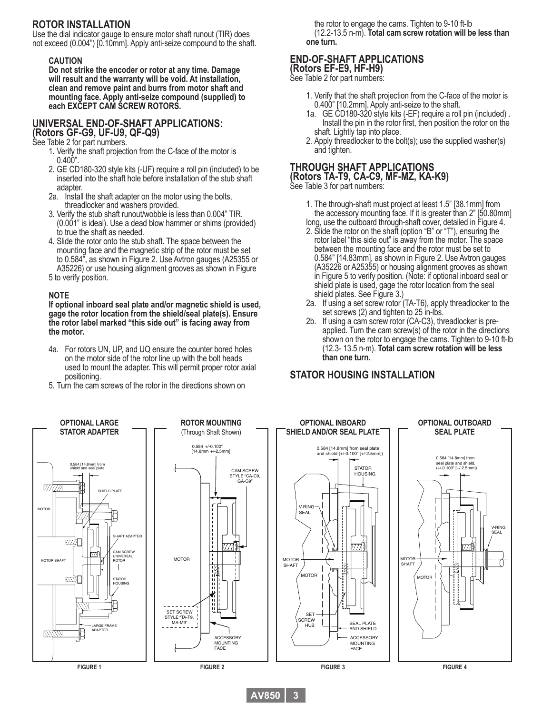#### **ROTOR INSTALLATION**

Use the dial indicator gauge to ensure motor shaft runout (TIR) does not exceed (0.004") [0.10mm]. Apply anti-seize compound to the shaft.

#### **CAUTION**

**Do not strike the encoder or rotor at any time. Damage will result and the warranty will be void. At installation, clean and remove paint and burrs from motor shaft and mounting face. Apply anti-seize compound (supplied) to each EXCEPT CAM SCREW ROTORS.**

#### **UNIVERSAL END-OF-SHAFT APPLICATIONS:**

**(Rotors GF-G9, UF-U9, QF-Q9)** See Table 2 for part numbers.

- 1. Verify the shaft projection from the C-face of the motor is  $0.400"$ .
- 2. GE CD180-320 style kits (-UF) require a roll pin (included) to be inserted into the shaft hole before installation of the stub shaft adapter.
- 2a. Install the shaft adapter on the motor using the bolts, threadlocker and washers provided.
- 3. Verify the stub shaft runout/wobble is less than 0.004" TIR. (0.001" is ideal). Use a dead blow hammer or shims (provided) to true the shaft as needed.
- 4. Slide the rotor onto the stub shaft. The space between the mounting face and the magnetic strip of the rotor must be set to 0.584", as shown in Figure 2. Use Avtron gauges (A25355 or A35226) or use housing alignment grooves as shown in Figure

#### 5 to verify position.

#### **NOTE**

**If optional inboard seal plate and/or magnetic shield is used, gage the rotor location from the shield/seal plate(s). Ensure the rotor label marked "this side out" is facing away from the motor.**

- 4a. For rotors UN, UP, and UQ ensure the counter bored holes on the motor side of the rotor line up with the bolt heads used to mount the adapter. This will permit proper rotor axial positioning.
- 5. Turn the cam screws of the rotor in the directions shown on

 the rotor to engage the cams. Tighten to 9-10 ft-lb (12.2-13.5 n-m). **Total cam screw rotation will be less than one turn.**

#### **END-OF-SHAFT APPLICATIONS (Rotors EF-E9, HF-H9)**

See Table 2 for part numbers:

- 1. Verify that the shaft projection from the C-face of the motor is 0.400" [10.2mm]. Apply anti-seize to the shaft.
	- 1a. GE CD180-320 style kits (-EF) require a roll pin (included) . Install the pin in the rotor first, then position the rotor on the shaft. Lightly tap into place.
	- 2. Apply threadlocker to the bolt(s); use the supplied washer(s) and tighten.

#### **THROUGH SHAFT APPLICATIONS (Rotors TA-T9, CA-C9, MF-MZ, KA-K9)**

See Table 3 for part numbers:

- 1. The through-shaft must project at least 1.5" [38.1mm] from the accessory mounting face. If it is greater than 2" [50.80mm] long, use the outboard through-shaft cover, detailed in Figure 4.
- 2. Slide the rotor on the shaft (option "B" or "T"), ensuring the rotor label "this side out" is away from the motor. The space<br>between the mounting face and the rotor must be set to 0.584" [14.83mm], as shown in Figure 2. Use Avtron gauges (A35226 or A25355) or housing alignment grooves as shown in Figure 5 to verify position. (Note: if optional inboard seal or shield plate is used, gage the rotor location from the seal shield plates. See Figure 3.)
- 2a. If using a set screw rotor (TA-T6), apply threadlocker to the set screws (2) and tighten to 25 in-lbs.
- 2b. If using a cam screw rotor (CA-C3), threadlocker is pre applied. Turn the cam screw(s) of the rotor in the directions shown on the rotor to engage the cams. Tighten to 9-10 ft-lb (12.3- 13.5 n-m). **Total cam screw rotation will be less than one turn.**

#### **STATOR HOUSING INSTALLATION**



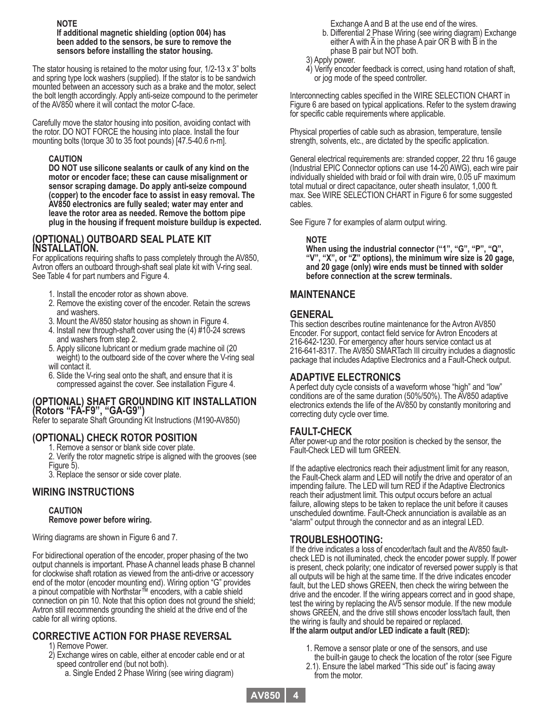#### **NOTE If additional magnetic shielding (option 004) has been added to the sensors, be sure to remove the sensors before installing the stator housing.**

The stator housing is retained to the motor using four, 1/2-13 x 3" bolts and spring type lock washers (supplied). If the stator is to be sandwich mounted between an accessory such as a brake and the motor, select the bolt length accordingly. Apply anti-seize compound to the perimeter of the AV850 where it will contact the motor C-face.

Carefully move the stator housing into position, avoiding contact with the rotor. DO NOT FORCE the housing into place. Install the four mounting bolts (torque 30 to 35 foot pounds) [47.5-40.6 n-m].

#### **CAUTION**

**DO NOT use silicone sealants or caulk of any kind on the motor or encoder face; these can cause misalignment or sensor scraping damage. Do apply anti-seize compound (copper) to the encoder face to assist in easy removal. The AV850 electronics are fully sealed; water may enter and leave the rotor area as needed. Remove the bottom pipe plug in the housing if frequent moisture buildup is expected.**

#### **(OPTIONAL) OUTBOARD SEAL PLATE KIT INSTALLATION.**

For applications requiring shafts to pass completely through the AV850, Avtron offers an outboard through-shaft seal plate kit with V-ring seal. See Table 4 for part numbers and Figure 4.

- 1. Install the encoder rotor as shown above.
- 2. Remove the existing cover of the encoder. Retain the screws and washers.
- 3. Mount the AV850 stator housing as shown in Figure 4.
- 4. Install new through-shaft cover using the (4) #10-24 screws and washers from step 2.
- 5. Apply silicone lubricant or medium grade machine oil (20 weight) to the outboard side of the cover where the V-ring seal will contact it.
- 6. Slide the V-ring seal onto the shaft, and ensure that it is compressed against the cover. See installation Figure 4.

#### **(OPTIONAL) SHAFT GROUNDING KIT INSTALLATION (Rotors "FA-F9", "GA-G9")**

Refer to separate Shaft Grounding Kit Instructions (M190-AV850)

#### **(OPTIONAL) CHECK ROTOR POSITION**

1. Remove a sensor or blank side cover plate.

2. Verify the rotor magnetic stripe is aligned with the grooves (see Figure 5).

3. Replace the sensor or side cover plate.

#### **WIRING INSTRUCTIONS**

#### **CAUTION Remove power before wiring.**

Wiring diagrams are shown in Figure 6 and 7.

For bidirectional operation of the encoder, proper phasing of the two output channels is important. Phase A channel leads phase B channel for clockwise shaft rotation as viewed from the anti-drive or accessory end of the motor (encoder mounting end). Wiring option "G" provides a pinout compatible with Northstar™ encoders, with a cable shield connection on pin 10. Note that this option does not ground the shield; Avtron still recommends grounding the shield at the drive end of the cable for all wiring options.

#### **CORRECTIVE ACTION FOR PHASE REVERSAL**

1) Remove Power.

- 2) Exchange wires on cable, either at encoder cable end or at speed controller end (but not both).
	- a. Single Ended 2 Phase Wiring (see wiring diagram)

Exchange A and B at the use end of the wires.

- b. Differential 2 Phase Wiring (see wiring diagram) Exchange either A with  $\overline{A}$  in the phase  $\overline{A}$  pair OR B with B in the phase B pair but NOT both.
- 3) Apply power.
- 4) Verify encoder feedback is correct, using hand rotation of shaft, or jog mode of the speed controller.

Interconnecting cables specified in the WIRE SELECTION CHART in Figure 6 are based on typical applications. Refer to the system drawing for specific cable requirements where applicable.

Physical properties of cable such as abrasion, temperature, tensile strength, solvents, etc., are dictated by the specific application.

General electrical requirements are: stranded copper, 22 thru 16 gauge (Industrial EPIC Connector options can use 14-20 AWG), each wire pair individually shielded with braid or foil with drain wire, 0.05 uF maximum total mutual or direct capacitance, outer sheath insulator, 1,000 ft. max. See WIRE SELECTION CHART in Figure 6 for some suggested cables.

See Figure 7 for examples of alarm output wiring.

#### **NOTE**

**When using the industrial connector ("1", "G", "P", "Q", "V", "X", or "Z" options), the minimum wire size is 20 gage, and 20 gage (only) wire ends must be tinned with solder before connection at the screw terminals.**

#### **MAINTENANCE**

#### **GENERAL**

This section describes routine maintenance for the Avtron AV850 Encoder. For support, contact field service for Avtron Encoders at 216-642-1230. For emergency after hours service contact us at 216-641-8317. The AV850 SMARTach III circuitry includes a diagnostic package that includes Adaptive Electronics and a Fault-Check output.

#### **ADAPTIVE ELECTRONICS**

A perfect duty cycle consists of a waveform whose "high" and "low" conditions are of the same duration (50%/50%). The AV850 adaptive electronics extends the life of the AV850 by constantly monitoring and correcting duty cycle over time.

#### **FAULT-CHECK**

After power-up and the rotor position is checked by the sensor, the Fault-Check LED will turn GREEN.

If the adaptive electronics reach their adjustment limit for any reason, the Fault-Check alarm and LED will notify the drive and operator of an impending failure. The LED will turn RED if the Adaptive Electronics reach their adjustment limit. This output occurs before an actual failure, allowing steps to be taken to replace the unit before it causes unscheduled downtime. Fault-Check annunciation is available as an "alarm" output through the connector and as an integral LED.

#### **TROUBLESHOOTING:**

If the drive indicates a loss of encoder/tach fault and the AV850 faultcheck LED is not illuminated, check the encoder power supply. If power is present, check polarity; one indicator of reversed power supply is that all outputs will be high at the same time. If the drive indicates encoder fault, but the LED shows GREEN, then check the wiring between the drive and the encoder. If the wiring appears correct and in good shape, test the wiring by replacing the AV5 sensor module. If the new module shows GREEN, and the drive still shows encoder loss/tach fault, then the wiring is faulty and should be repaired or replaced. **If the alarm output and/or LED indicate a fault (RED):**

- 1. Remove a sensor plate or one of the sensors, and use
- the built-in gauge to check the location of the rotor (see Figure
- 2.1). Ensure the label marked "This side out" is facing away from the motor.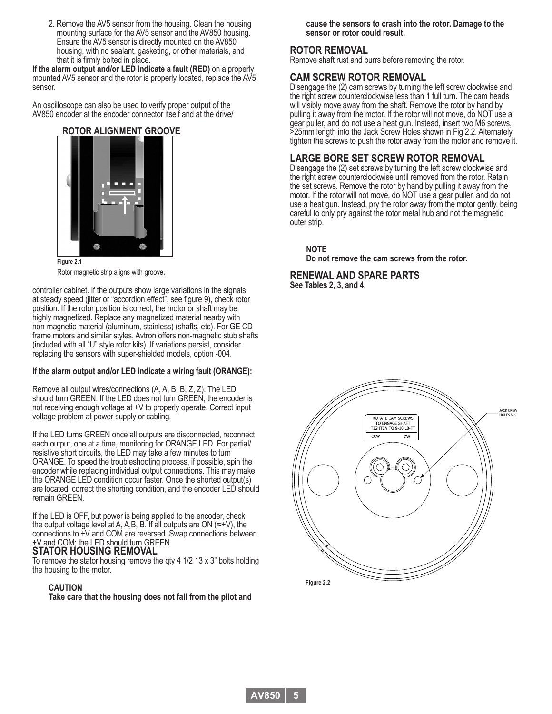2. Remove the AV5 sensor from the housing. Clean the housing mounting surface for the AV5 sensor and the AV850 housing. Ensure the AV5 sensor is directly mounted on the AV850 housing, with no sealant, gasketing, or other materials, and that it is firmly bolted in place.

**If the alarm output and/or LED indicate a fault (RED)** on a properly mounted AV5 sensor and the rotor is properly located, replace the AV5 sensor.

An oscilloscope can also be used to verify proper output of the AV850 encoder at the encoder connector itself and at the drive/

#### **ROTOR ALIGNMENT GROOVE**



**Figure 2.1** Rotor magnetic strip aligns with groove**.**

controller cabinet. If the outputs show large variations in the signals at steady speed (jitter or "accordion effect", see figure 9), check rotor position. If the rotor position is correct, the motor or shaft may be highly magnetized. Replace any magnetized material nearby with non-magnetic material (aluminum, stainless) (shafts, etc). For GE CD frame motors and similar styles, Avtron offers non-magnetic stub shafts (included with all "U" style rotor kits). If variations persist, consider replacing the sensors with super-shielded models, option -004.

#### **If the alarm output and/or LED indicate a wiring fault (ORANGE):**

Remove all output wires/connections  $(A, \overline{A}, B, \overline{B}, Z, \overline{Z})$ . The LED should turn GREEN. If the LED does not turn GREEN, the encoder is not receiving enough voltage at +V to properly operate. Correct input voltage problem at power supply or cabling.

If the LED turns GREEN once all outputs are disconnected, reconnect each output, one at a time, monitoring for ORANGE LED. For partial/ resistive short circuits, the LED may take a few minutes to turn ORANGE. To speed the troubleshooting process, if possible, spin the encoder while replacing individual output connections. This may make the ORANGE LED condition occur faster. Once the shorted output(s) are located, correct the shorting condition, and the encoder LED should remain GREEN.

If the LED is OFF, but power is being applied to the encoder, check the output voltage level at A, A,B, B. If all outputs are ON ( $\approx$ +V), the connections to +V and COM are reversed. Swap connections between +V and COM; the LED should turn GREEN.

#### **STATOR HOUSING REMOVAL**

To remove the stator housing remove the qty 4 1/2 13 x 3" bolts holding the housing to the motor.

#### **CAUTION**

**Take care that the housing does not fall from the pilot and** 

**cause the sensors to crash into the rotor. Damage to the sensor or rotor could result.**

#### **ROTOR REMOVAL**

Remove shaft rust and burrs before removing the rotor.

#### **CAM SCREW ROTOR REMOVAL**

Disengage the (2) cam screws by turning the left screw clockwise and the right screw counterclockwise less than 1 full turn. The cam heads will visibly move away from the shaft. Remove the rotor by hand by pulling it away from the motor. If the rotor will not move, do NOT use a gear puller, and do not use a heat gun. Instead, insert two M6 screws, >25mm length into the Jack Screw Holes shown in Fig 2.2. Alternately tighten the screws to push the rotor away from the motor and remove it.

#### **LARGE BORE SET SCREW ROTOR REMOVAL**

Disengage the (2) set screws by turning the left screw clockwise and the right screw counterclockwise until removed from the rotor. Retain the set screws. Remove the rotor by hand by pulling it away from the motor. If the rotor will not move, do NOT use a gear puller, and do not use a heat gun. Instead, pry the rotor away from the motor gently, being careful to only pry against the rotor metal hub and not the magnetic outer strip.

**NOTE**

**Do not remove the cam screws from the rotor.**

#### **RENEWAL AND SPARE PARTS See Tables 2, 3, and 4.**

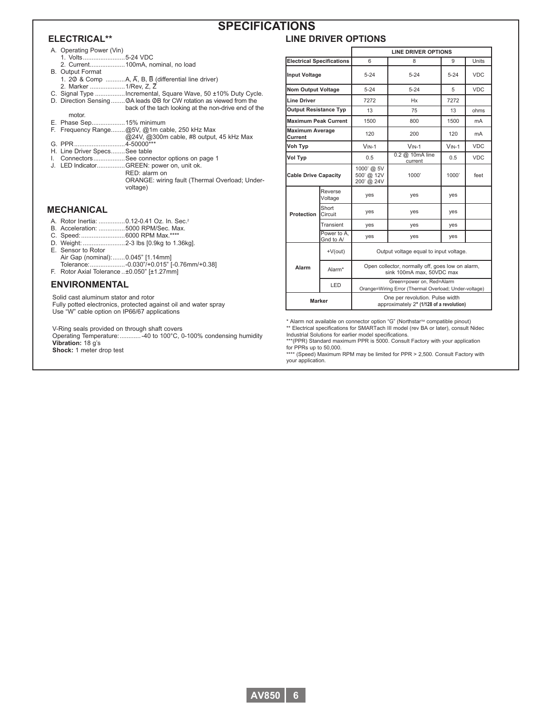#### **ELECTRICAL\*\***

#### **SPECIFICATIONS**

#### **LINE DRIVER OPTIONS**

- A. Operating Power (Vin)
- 1. Volts........................5-24 VDC
- 2. Current....................100mA, nominal, no load B. Output Format
- 1. 20 & Comp ...........A,  $\overline{A}$ , B,  $\overline{B}$  (differential line driver) 2. Marker ....................1/Rev, Z, Z–
- C. Signal Type .................Incremental, Square Wave, 50 ±10% Duty Cycle.
- D. Direction Sensing........ OA leads OB for CW rotation as viewed from the back of the tach looking at the non-drive end of the
	- motor.
- E. Phase Sep...................15% minimum
- F. Frequency Range........@5V, @1m cable, 250 kHz Max
- ................................. @24V, @300m cable, #8 output, 45 kHz Max G. PPR.............................4-50000\*\*\*
- H. Line Driver Specs........See table
- I. Connectors..................See connector options on page 1
- J. LED Indicator................GREEN: power on, unit ok.
	- RED: alarm on ORANGE: wiring fault (Thermal Overload; Undervoltage)

#### **MECHANICAL**

- A. Rotor Inertia: ...............0.12-0.41 Oz. In. Sec.2
- B. Acceleration: ...............5000 RPM/Sec. Max.
- C. Speed:.........................6000 RPM Max.\*\*\*\*
- D. Weight: ........................2-3 lbs [0.9kg to 1.36kg]. E. Sensor to Rotor
- Air Gap (nominal):.......0.045" [1.14mm] Tolerance:....................-0.030"/+0.015" [-0.76mm/+0.38]
- F. Rotor Axial Tolerance ..±0.050" [±1.27mm]

#### **ENVIRONMENTAL**

Solid cast aluminum stator and rotor

Fully potted electronics, protected against oil and water spray Use "W" cable option on IP66/67 applications

V-Ring seals provided on through shaft covers

Operating Temperature:............-40 to 100°C, 0-100% condensing humidity **Vibration:** 18 g's **Shock:** 1 meter drop test

|                                   |                          | <b>LINE DRIVER OPTIONS</b>                                                         |                                                                               |                                             |            |  |  |  |  |  |
|-----------------------------------|--------------------------|------------------------------------------------------------------------------------|-------------------------------------------------------------------------------|---------------------------------------------|------------|--|--|--|--|--|
| <b>Electrical Specifications</b>  |                          | 6                                                                                  | 8                                                                             | <b>Units</b><br>9<br>$5 - 24$<br><b>VDC</b> |            |  |  |  |  |  |
| <b>Input Voltage</b>              |                          | $5 - 24$                                                                           | $5 - 24$                                                                      |                                             |            |  |  |  |  |  |
| <b>Nom Output Voltage</b>         |                          | $5 - 24$                                                                           | $5 - 24$                                                                      | 5                                           | <b>VDC</b> |  |  |  |  |  |
| <b>Line Driver</b>                |                          | 7272                                                                               | <b>Hx</b>                                                                     | 7272                                        |            |  |  |  |  |  |
| <b>Output Resistance Typ</b>      |                          | 13                                                                                 | 75                                                                            | 13                                          | ohms       |  |  |  |  |  |
| <b>Maximum Peak Current</b>       |                          | 1500                                                                               | 800                                                                           | 1500                                        | mA         |  |  |  |  |  |
| <b>Maximum Average</b><br>Current |                          | 120                                                                                | 200                                                                           | 120                                         | mA         |  |  |  |  |  |
| Voh Typ                           |                          | $VIN-1$                                                                            | $VIN-1$                                                                       | $VIN-1$                                     | <b>VDC</b> |  |  |  |  |  |
| Vol Typ                           |                          | 0.5                                                                                | 0.2 @ 10mA line<br>current                                                    | 0.5                                         | <b>VDC</b> |  |  |  |  |  |
| <b>Cable Drive Capacity</b>       |                          | 1000' @ 5V<br>500' @ 12V<br>200' @ 24V                                             | 1000'                                                                         | 1000'                                       | feet       |  |  |  |  |  |
|                                   | Reverse<br>Voltage       | yes                                                                                | yes                                                                           | yes                                         |            |  |  |  |  |  |
| Protection                        | Short<br>Circuit         | yes                                                                                | yes                                                                           | ves                                         |            |  |  |  |  |  |
|                                   | Transient                | yes                                                                                | yes                                                                           | yes                                         |            |  |  |  |  |  |
|                                   | Power to A.<br>Gnd to A/ | ves                                                                                | yes                                                                           | ves                                         |            |  |  |  |  |  |
|                                   | $+V(out)$                | Output voltage equal to input voltage.                                             |                                                                               |                                             |            |  |  |  |  |  |
| Alarm                             | Alarm*                   |                                                                                    | Open collector, normally off, goes low on alarm,<br>sink 100mA max, 50VDC max |                                             |            |  |  |  |  |  |
|                                   | LED                      | Green=power on, Red=Alarm<br>Orange=Wiring Error (Thermal Overload; Under-voltage) |                                                                               |                                             |            |  |  |  |  |  |
| <b>Marker</b>                     |                          | One per revolution. Pulse width<br>approximately 2° (1/128 of a revolution)        |                                                                               |                                             |            |  |  |  |  |  |

\* Alarm not available on connector option "G" (Northstar<sup>TM</sup> compatible pinout) \*\* Electrical specifications for SMARTach III model (rev BA or later), consult Nidec

Industrial Solutions for earlier model specifications. \*\*\*(PPR) Standard maximum PPR is 5000. Consult Factory with your application for PPRs up to 50,000.

\*\*\*\* (Speed) Maximum RPM may be limited for PPR > 2,500. Consult Factory with your application.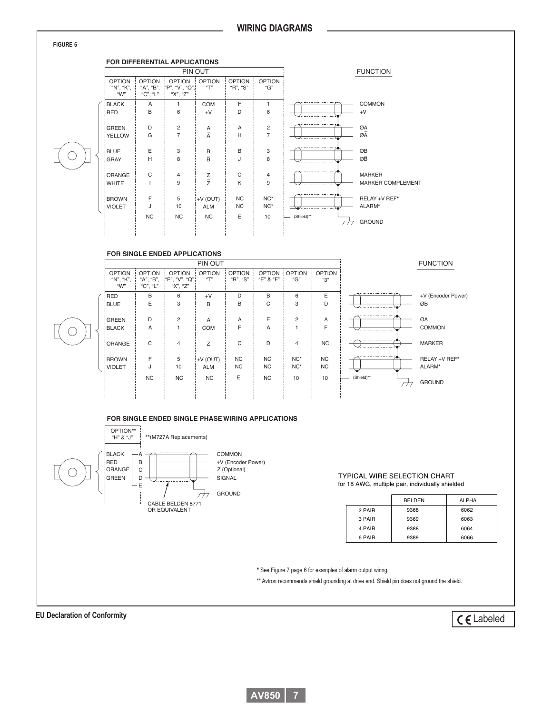



#### **FOR SINGLE ENDED APPLICATIONS** PIN OUT

|  |                                       |                                        |                                             | <b>FUNCTION</b>                 |                           |                            |                      |                        |                                 |                          |
|--|---------------------------------------|----------------------------------------|---------------------------------------------|---------------------------------|---------------------------|----------------------------|----------------------|------------------------|---------------------------------|--------------------------|
|  | <b>OPTION</b><br>"N", "K",<br>" $W$ " | <b>OPTION</b><br>"A", "B",<br>"C", "L" | <b>OPTION</b><br>"P", "V", "Q",<br>"X", "Z" | <b>OPTION</b><br>$\mathbf{H}^n$ | <b>OPTION</b><br>"R", "S" | <b>OPTION</b><br>"E" & "F" | <b>OPTION</b><br>"G" | <b>OPTION</b><br>"3"   |                                 |                          |
|  | RED<br>BLUE                           | B<br>E                                 | 6<br>3                                      | $+V$<br>B                       | D<br>B                    | B<br>C                     | 6<br>3               | Ε<br>D                 |                                 | +V (Encoder Power)<br>ØB |
|  | GREEN<br><b>BLACK</b>                 | D<br>Α                                 | 2                                           | A<br><b>COM</b>                 | A<br>F                    | E<br>Α                     | $\overline{2}$       | Α<br>F                 | ◡<br>-----------                | ØA<br><b>COMMON</b>      |
|  | ORANGE                                | $\mathsf{C}$                           | $\overline{4}$                              | Z                               | C                         | D                          | $\overline{4}$       | <b>NC</b>              | -------------                   | <b>MARKER</b>            |
|  | <b>BROWN</b><br><b>VIOLET</b>         | F<br>J                                 | 5<br>10                                     | $+V$ (OUT)<br><b>ALM</b>        | <b>NC</b><br><b>NC</b>    | <b>NC</b><br><b>NC</b>     | $NC^*$<br>$NC^*$     | <b>NC</b><br><b>NC</b> | -------------<br>-------------- | RELAY +V REF*<br>ALARM*  |
|  |                                       | <b>NC</b>                              | NC                                          | NC                              | E                         | NC                         | 10                   | 10                     | (Shield)**                      | <b>GROUND</b>            |

#### **FOR SINGLE ENDED SINGLE PHASE WIRING APPLICATIONS**



#### **FIGURE 6**

 $\left(\right)$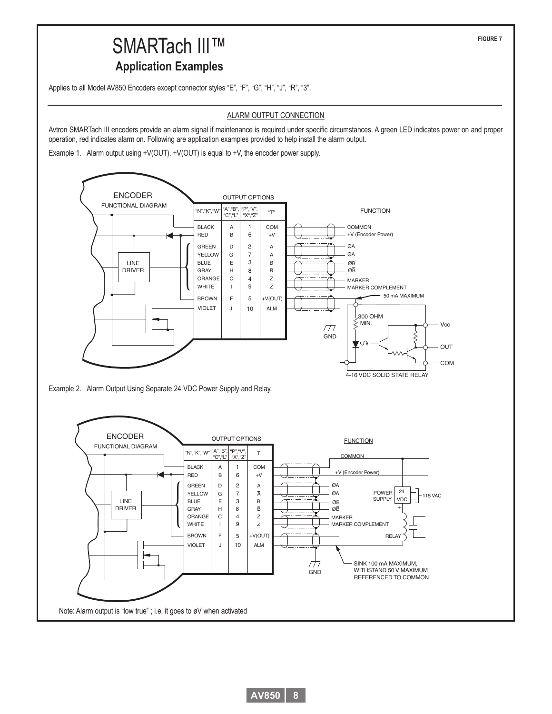## OUTPUT OPTIONS







**FIGURE 7**

## SMARTach III™ **Application Examples**

Applies to all Model AV850 Encoders except connector styles "E", "F", "G", "H", "J", "R", "3".

#### ALARM OUTPUT CONNECTION

Avtron SMARTach III encoders provide an alarm signal if maintenance is required under specific circumstances. A green LED indicates power on and proper operation, red indicates alarm on. Following are application examples provided to help install the alarm output.

Example 1. Alarm output using +V(OUT). +V(OUT) is equal to +V, the encoder power supply.

ENCODER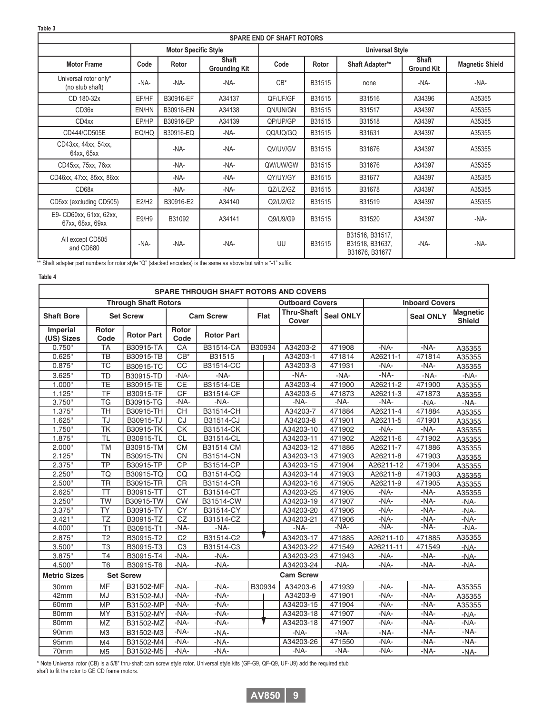| <b>SPARE END OF SHAFT ROTORS</b>            |       |                             |                                      |                        |        |                                                      |                            |                        |  |  |  |
|---------------------------------------------|-------|-----------------------------|--------------------------------------|------------------------|--------|------------------------------------------------------|----------------------------|------------------------|--|--|--|
|                                             |       | <b>Motor Specific Style</b> |                                      | <b>Universal Style</b> |        |                                                      |                            |                        |  |  |  |
| <b>Motor Frame</b>                          | Code  | Rotor                       | <b>Shaft</b><br><b>Grounding Kit</b> | Code                   | Rotor  | Shaft Adapter**                                      | Shaft<br><b>Ground Kit</b> | <b>Magnetic Shield</b> |  |  |  |
| Universal rotor only*<br>(no stub shaft)    | -NA-  | -NA-                        | -NA-                                 | $CB^*$                 | B31515 | none                                                 | $-NA-$                     | -NA-                   |  |  |  |
| CD 180-32x                                  | EF/HF | B30916-EF                   | A34137                               | QF/UF/GF               | B31515 | B31516                                               | A34396                     | A35355                 |  |  |  |
| CD36x                                       | EN/HN | B30916-EN                   | A34138                               | QN/UN/GN               | B31515 | B31517                                               | A34397                     | A35355                 |  |  |  |
| CD4xx                                       | EP/HP | B30916-EP                   | A34139                               | QP/UP/GP               | B31515 | B31518                                               | A34397                     | A35355                 |  |  |  |
| CD444/CD505E                                | EQ/HQ | B30916-EQ                   | -NA-                                 | QQ/UQ/GQ               | B31515 | B31631                                               | A34397                     | A35355                 |  |  |  |
| CD43xx, 44xx, 54xx,<br>64xx, 65xx           |       | -NA-                        | -NA-                                 | QV/UV/GV               | B31515 | B31676                                               | A34397                     | A35355                 |  |  |  |
| CD45xx, 75xx, 76xx                          |       | -NA-                        | -NA-                                 | QW/UW/GW               | B31515 | B31676                                               | A34397                     | A35355                 |  |  |  |
| CD46xx, 47xx, 85xx, 86xx                    |       | -NA-                        | -NA-                                 | QY/UY/GY               | B31515 | B31677                                               | A34397                     | A35355                 |  |  |  |
| CD68x                                       |       | -NA-                        | -NA-                                 | QZ/UZ/GZ               | B31515 | B31678                                               | A34397                     | A35355                 |  |  |  |
| CD5xx (excluding CD505)                     | E2/H2 | B30916-E2                   | A34140                               | Q2/U2/G2               | B31515 | B31519                                               | A34397                     | A35355                 |  |  |  |
| E9- CD60xx, 61xx, 62xx,<br>67xx, 68xx, 69xx | E9/H9 | B31092                      | A34141                               | Q9/U9/G9               | B31515 | B31520                                               | A34397                     | -NA-                   |  |  |  |
| All except CD505<br>and CD680               | -NA-  | -NA-                        | -NA-                                 | UU                     | B31515 | B31516, B31517,<br>B31518, B31637,<br>B31676, B31677 | $-NA-$                     | -NA-                   |  |  |  |

\*\* Shaft adapter part numbers for rotor style "Q" (stacked encoders) is the same as above but with a "-1" suffix.

#### **Table 4**

| <b>SPARE THROUGH SHAFT ROTORS AND COVERS</b> |                          |                             |                      |                   |        |                            |                  |                       |                  |                                  |  |
|----------------------------------------------|--------------------------|-----------------------------|----------------------|-------------------|--------|----------------------------|------------------|-----------------------|------------------|----------------------------------|--|
|                                              |                          | <b>Through Shaft Rotors</b> |                      |                   |        | <b>Outboard Covers</b>     |                  | <b>Inboard Covers</b> |                  |                                  |  |
| <b>Shaft Bore</b>                            | <b>Set Screw</b>         |                             | <b>Cam Screw</b>     |                   | Flat   | <b>Thru-Shaft</b><br>Cover | <b>Seal ONLY</b> |                       | <b>Seal ONLY</b> | <b>Magnetic</b><br><b>Shield</b> |  |
| Imperial<br>(US) Sizes                       | Rotor<br>Code            | <b>Rotor Part</b>           | <b>Rotor</b><br>Code | <b>Rotor Part</b> |        |                            |                  |                       |                  |                                  |  |
| 0.750"                                       | <b>TA</b>                | B30915-TA                   | CA                   | B31514-CA         | B30934 | A34203-2                   | 471908           | $-NA-$                | $-NA-$           | A35355                           |  |
| 0.625"                                       | <b>TB</b>                | B30915-TB                   | $CB*$                | B31515            |        | A34203-1                   | 471814           | A26211-1              | 471814           | A35355                           |  |
| 0.875"                                       | TC                       | B30915-TC                   | $\overline{CC}$      | B31514-CC         |        | A34203-3                   | 471931           | $-NA-$                | $-NA-$           | A35355                           |  |
| 3.625"                                       | <b>TD</b>                | B30915-TD                   | -NA-                 | $-NA-$            |        | -NA-                       | -NA-             | $-NA-$                | -NA-             | -NA-                             |  |
| 1.000"                                       | $\overline{\text{TE}}$   | B30915-TE                   | CE                   | B31514-CE         |        | A34203-4                   | 471900           | A26211-2              | 471900           | A35355                           |  |
| 1.125"                                       | <b>TF</b>                | B30915-TF                   | <b>CF</b>            | B31514-CF         |        | A34203-5                   | 471873           | A26211-3              | 471873           | A35355                           |  |
| 3.750"                                       | <b>TG</b>                | B30915-TG                   | -NA-                 | -NA-              |        | $-NA-$                     | -NA-             | $-NA-$                | $-NA-$           | -NA-                             |  |
| 1.375"                                       | <b>TH</b>                | B30915-TH                   | <b>CH</b>            | B31514-CH         |        | A34203-7                   | 471884           | A26211-4              | 471884           | A35355                           |  |
| 1.625"                                       | TJ                       | B30915-TJ                   | CJ                   | B31514-CJ         |        | A34203-8                   | 471901           | A26211-5              | 471901           | A35355                           |  |
| 1.750"                                       | $\overline{\mathsf{TK}}$ | B30915-TK                   | СK                   | B31514-CK         |        | A34203-10                  | 471902           | -NA-                  | -NA-             | A35355                           |  |
| 1.875"                                       | TL                       | B30915-TL                   | <b>CL</b>            | B31514-CL         |        | A34203-11                  | 471902           | A26211-6              | 471902           | A35355                           |  |
| 2.000"                                       | <b>TM</b>                | B30915-TM                   | <b>CM</b>            | B31514 CM         |        | A34203-12                  | 471886           | A26211-7              | 471886           | A35355                           |  |
| 2.125"                                       | <b>TN</b>                | B30915-TN                   | <b>CN</b>            | B31514-CN         |        | A34203-13                  | 471903           | A26211-8              | 471903           | A35355                           |  |
| 2.375"                                       | <b>TP</b>                | B30915-TP                   | <b>CP</b>            | B31514-CP         |        | A34203-15                  | 471904           | A26211-12             | 471904           | A35355                           |  |
| 2.250"                                       | <b>TQ</b>                | B30915-TQ                   | CQ                   | B31514-CQ         |        | A34203-14                  | 471903           | A26211-8              | 471903           | A35355                           |  |
| 2.500"                                       | <b>TR</b>                | B30915-TR                   | CR                   | B31514-CR         |        | A34203-16                  | 471905           | A26211-9              | 471905           | A35355                           |  |
| 2.625"                                       | <b>TT</b>                | B30915-TT                   | <b>CT</b>            | B31514-CT         |        | A34203-25                  | 471905           | -NA-                  | -NA-             | A35355                           |  |
| 3.250"                                       | <b>TW</b>                | B30915-TW                   | <b>CW</b>            | B31514-CW         |        | A34203-19                  | 471907           | -NA-                  | -NA-             | -NA-                             |  |
| 3.375"                                       | <b>TY</b>                | B30915-TY                   | <b>CY</b>            | B31514-CY         |        | A34203-20                  | 471906           | $-NA-$                | $-NA-$           | -NA-                             |  |
| 3.421"                                       | TZ                       | B30915-TZ                   | CZ                   | B31514-CZ         |        | A34203-21                  | 471906           | -NA-                  | -NA-             | -NA-                             |  |
| 4.000"                                       | T1                       | B30915-T1                   | -NA-                 | -NA-              |        | -NA-                       | $-NA-$           | $-NA-$                | $-NA-$           | $-NA-$                           |  |
| 2.875"                                       | T <sub>2</sub>           | B30915-T2                   | C <sub>2</sub>       | B31514-C2         |        | A34203-17                  | 471885           | A26211-10             | 471885           | A35355                           |  |
| 3.500"                                       | T <sub>3</sub>           | B30915-T3                   | C <sub>3</sub>       | B31514-C3         |        | A34203-22                  | 471549           | A26211-11             | 471549           | $-NA-$                           |  |
| 3.875"                                       | T <sub>4</sub>           | B30915-T4                   | -NA-                 | $-NA-$            |        | A34203-23                  | 471943           | $-NA-$                | $-NA-$           | $-NA-$                           |  |
| 4.500"                                       | T <sub>6</sub>           | B30915-T6                   | -NA-                 | $-NA-$            |        | A34203-24                  | $-NA-$           | -NA-                  | -NA-             | $-NA-$                           |  |
| <b>Metric Sizes</b>                          |                          | <b>Set Screw</b>            |                      |                   |        | <b>Cam Screw</b>           |                  |                       |                  |                                  |  |
| 30mm                                         | <b>MF</b>                | B31502-MF                   | $-NA-$               | -NA-              | B30934 | A34203-6                   | 471939           | $-NA-$                | -NA-             | A35355                           |  |
| 42mm                                         | <b>MJ</b>                | B31502-MJ                   | $-NA-$               | $-NA-$            |        | A34203-9                   | 471901           | $-NA-$                | $-NA-$           | A35355                           |  |
| 60 <sub>mm</sub>                             | <b>MP</b>                | B31502-MP                   | $-NA-$               | $-NA-$            |        | A34203-15                  | 471904           | $-NA-$                | $-NA-$           | A35355                           |  |
| 80mm                                         | MY                       | B31502-MY                   | -NA-                 | -NA-              |        | A34203-18                  | 471907           | $-NA-$                | $-NA-$           | -NA-                             |  |
| 80mm                                         | MZ                       | B31502-MZ                   | $-NA-$               | $-NA-$            |        | A34203-18                  | 471907           | $-NA-$                | $-NA-$           | $-NA-$                           |  |
| 90mm                                         | M <sub>3</sub>           | B31502-M3                   | $-NA-$               | $-NA-$            |        | $-NA-$                     | -NA-             | $-NA-$                | $-NA-$           | $-NA-$                           |  |
| 95mm                                         | M <sub>4</sub>           | B31502-M4                   | $-NA-$               | -NA-              |        | A34203-26                  | 471550           | -NA-                  | $-NA-$           | -NA-                             |  |
| 70mm                                         | M <sub>5</sub>           | B31502-M5                   | $-NA-$               | -NA-              |        | $-NA-$                     | -NA-             | $-NA-$                | -NA-             | -NA-                             |  |

\* Note Universal rotor (CB) is a 5/8" thru-shaft cam screw style rotor. Universal style kits (GF-G9, QF-Q9, UF-U9) add the required stub shaft to fit the rotor to GE CD frame motors.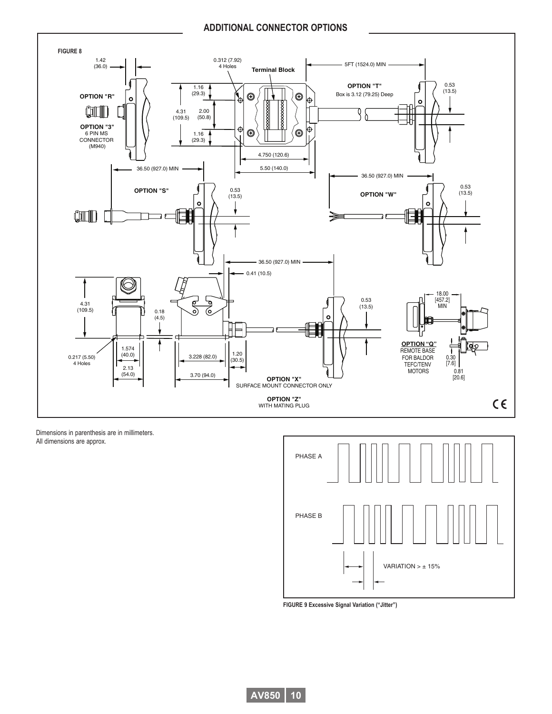#### **ADDITIONAL CONNECTOR OPTIONS**



Dimensions in parenthesis are in millimeters. All dimensions are approx.



**FIGURE 9 Excessive Signal Variation ("Jitter")**